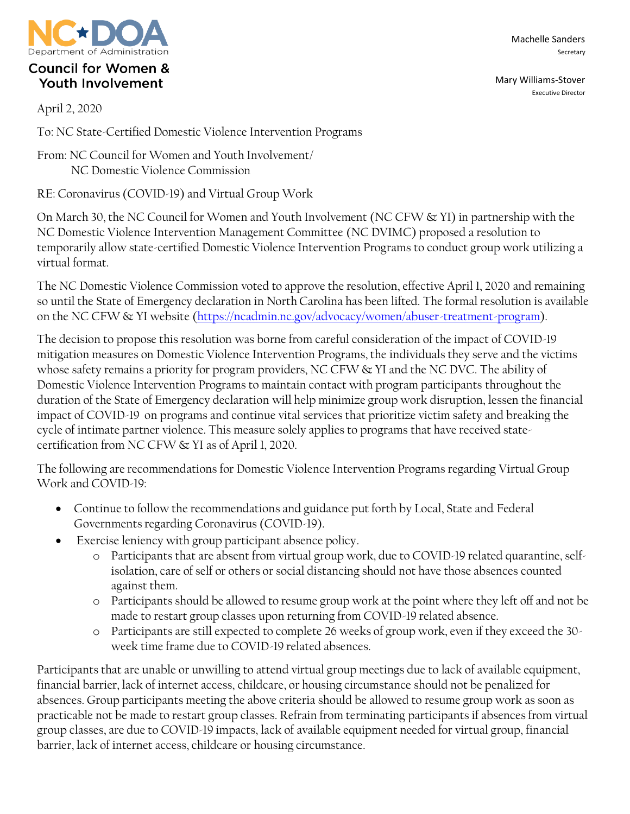

## **Council for Women & Youth Involvement**

April 2, 2020

To: NC State-Certified Domestic Violence Intervention Programs

From: NC Council for Women and Youth Involvement/ NC Domestic Violence Commission

RE: Coronavirus (COVID-19) and Virtual Group Work

On March 30, the NC Council for Women and Youth Involvement (NC CFW & YI) in partnership with the NC Domestic Violence Intervention Management Committee (NC DVIMC) proposed a resolution to temporarily allow state-certified Domestic Violence Intervention Programs to conduct group work utilizing a virtual format.

The NC Domestic Violence Commission voted to approve the resolution, effective April 1, 2020 and remaining so until the State of Emergency declaration in North Carolina has been lifted. The formal resolution is available on the NC CFW & YI website [\(https://ncadmin.nc.gov/advocacy/women/abuser-treatment-program\)](https://ncadmin.nc.gov/advocacy/women/abuser-treatment-program).

The decision to propose this resolution was borne from careful consideration of the impact of COVID-19 mitigation measures on Domestic Violence Intervention Programs, the individuals they serve and the victims whose safety remains a priority for program providers, NC CFW & YI and the NC DVC. The ability of Domestic Violence Intervention Programs to maintain contact with program participants throughout the duration of the State of Emergency declaration will help minimize group work disruption, lessen the financial impact of COVID-19 on programs and continue vital services that prioritize victim safety and breaking the cycle of intimate partner violence. This measure solely applies to programs that have received statecertification from NC CFW & YI as of April 1, 2020.

The following are recommendations for Domestic Violence Intervention Programs regarding Virtual Group Work and COVID-19:

- Continue to follow the recommendations and guidance put forth by Local, State and Federal Governments regarding Coronavirus (COVID-19).
- Exercise leniency with group participant absence policy.
	- o Participants that are absent from virtual group work, due to COVID-19 related quarantine, selfisolation, care of self or others or social distancing should not have those absences counted against them.
	- o Participants should be allowed to resume group work at the point where they left off and not be made to restart group classes upon returning from COVID-19 related absence.
	- o Participants are still expected to complete 26 weeks of group work, even if they exceed the 30 week time frame due to COVID-19 related absences.

Participants that are unable or unwilling to attend virtual group meetings due to lack of available equipment, financial barrier, lack of internet access, childcare, or housing circumstance should not be penalized for absences. Group participants meeting the above criteria should be allowed to resume group work as soon as practicable not be made to restart group classes. Refrain from terminating participants if absences from virtual group classes, are due to COVID-19 impacts, lack of available equipment needed for virtual group, financial barrier, lack of internet access, childcare or housing circumstance.

Machelle Sanders Secretary

Mary Williams-Stover Executive Director